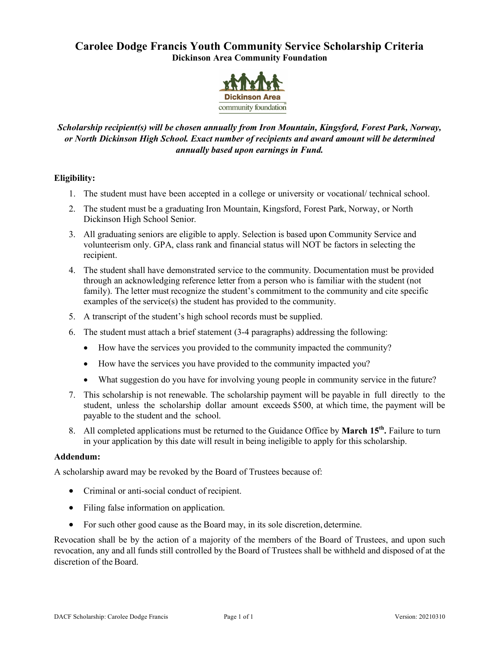## **Carolee Dodge Francis Youth Community Service Scholarship Criteria Dickinson Area Community Foundation**



## *Scholarship recipient(s) will be chosen annually from Iron Mountain, Kingsford, Forest Park, Norway, or North Dickinson High School. Exact number of recipients and award amount will be determined annually based upon earnings in Fund.*

#### **Eligibility:**

- 1. The student must have been accepted in a college or university or vocational/ technical school.
- 2. The student must be a graduating Iron Mountain, Kingsford, Forest Park, Norway, or North Dickinson High School Senior.
- 3. All graduating seniors are eligible to apply. Selection is based upon Community Service and volunteerism only. GPA, class rank and financial status will NOT be factors in selecting the recipient.
- 4. The student shall have demonstrated service to the community. Documentation must be provided through an acknowledging reference letter from a person who is familiar with the student (not family). The letter must recognize the student's commitment to the community and cite specific examples of the service(s) the student has provided to the community.
- 5. A transcript of the student's high school records must be supplied.
- 6. The student must attach a brief statement (3-4 paragraphs) addressing the following:
	- How have the services you provided to the community impacted the community?
	- How have the services you have provided to the community impacted you?
	- What suggestion do you have for involving young people in community service in the future?
- 7. This scholarship is not renewable. The scholarship payment will be payable in full directly to the student, unless the scholarship dollar amount exceeds \$500, at which time, the payment will be payable to the student and the school.
- 8. All completed applications must be returned to the Guidance Office by **March 15th.** Failure to turn in your application by this date will result in being ineligible to apply for this scholarship.

#### **Addendum:**

A scholarship award may be revoked by the Board of Trustees because of:

- Criminal or anti-social conduct of recipient.
- Filing false information on application.
- For such other good cause as the Board may, in its sole discretion, determine.

Revocation shall be by the action of a majority of the members of the Board of Trustees, and upon such revocation, any and all funds still controlled by the Board of Trustees shall be withheld and disposed of at the discretion of the Board.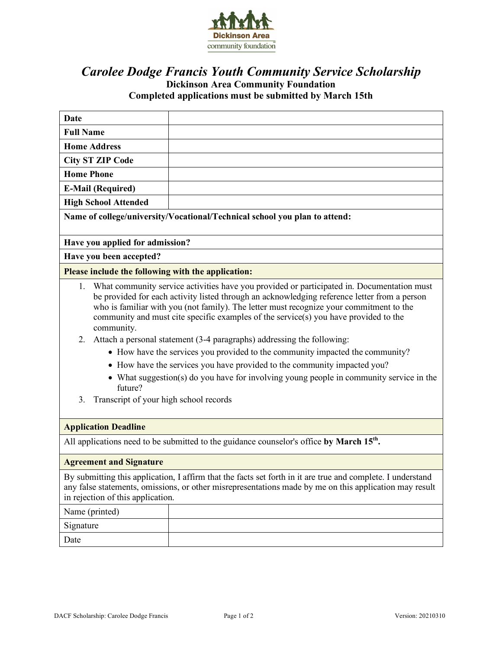

# *Carolee Dodge Francis Youth Community Service Scholarship* **Dickinson Area Community Foundation Completed applications must be submitted by March 15th**

| <b>Date</b>                                                                 |                                                                                                                                                                                                                                                                                                                                                                                                                                                                                                                                                                                                                                                                                                                    |  |  |  |
|-----------------------------------------------------------------------------|--------------------------------------------------------------------------------------------------------------------------------------------------------------------------------------------------------------------------------------------------------------------------------------------------------------------------------------------------------------------------------------------------------------------------------------------------------------------------------------------------------------------------------------------------------------------------------------------------------------------------------------------------------------------------------------------------------------------|--|--|--|
| <b>Full Name</b>                                                            |                                                                                                                                                                                                                                                                                                                                                                                                                                                                                                                                                                                                                                                                                                                    |  |  |  |
| <b>Home Address</b>                                                         |                                                                                                                                                                                                                                                                                                                                                                                                                                                                                                                                                                                                                                                                                                                    |  |  |  |
| <b>City ST ZIP Code</b>                                                     |                                                                                                                                                                                                                                                                                                                                                                                                                                                                                                                                                                                                                                                                                                                    |  |  |  |
| <b>Home Phone</b>                                                           |                                                                                                                                                                                                                                                                                                                                                                                                                                                                                                                                                                                                                                                                                                                    |  |  |  |
| <b>E-Mail (Required)</b>                                                    |                                                                                                                                                                                                                                                                                                                                                                                                                                                                                                                                                                                                                                                                                                                    |  |  |  |
| <b>High School Attended</b>                                                 |                                                                                                                                                                                                                                                                                                                                                                                                                                                                                                                                                                                                                                                                                                                    |  |  |  |
| Name of college/university/Vocational/Technical school you plan to attend:  |                                                                                                                                                                                                                                                                                                                                                                                                                                                                                                                                                                                                                                                                                                                    |  |  |  |
| Have you applied for admission?                                             |                                                                                                                                                                                                                                                                                                                                                                                                                                                                                                                                                                                                                                                                                                                    |  |  |  |
| Have you been accepted?                                                     |                                                                                                                                                                                                                                                                                                                                                                                                                                                                                                                                                                                                                                                                                                                    |  |  |  |
| Please include the following with the application:                          |                                                                                                                                                                                                                                                                                                                                                                                                                                                                                                                                                                                                                                                                                                                    |  |  |  |
| community.<br>2.<br>future?<br>Transcript of your high school records<br>3. | 1. What community service activities have you provided or participated in. Documentation must<br>be provided for each activity listed through an acknowledging reference letter from a person<br>who is familiar with you (not family). The letter must recognize your commitment to the<br>community and must cite specific examples of the service(s) you have provided to the<br>Attach a personal statement (3-4 paragraphs) addressing the following:<br>• How have the services you provided to the community impacted the community?<br>• How have the services you have provided to the community impacted you?<br>• What suggestion(s) do you have for involving young people in community service in the |  |  |  |
| <b>Application Deadline</b>                                                 |                                                                                                                                                                                                                                                                                                                                                                                                                                                                                                                                                                                                                                                                                                                    |  |  |  |
|                                                                             | All applications need to be submitted to the guidance counselor's office by March 15 <sup>th</sup> .                                                                                                                                                                                                                                                                                                                                                                                                                                                                                                                                                                                                               |  |  |  |
| <b>Agreement and Signature</b>                                              |                                                                                                                                                                                                                                                                                                                                                                                                                                                                                                                                                                                                                                                                                                                    |  |  |  |
| in rejection of this application.                                           | By submitting this application, I affirm that the facts set forth in it are true and complete. I understand<br>any false statements, omissions, or other misrepresentations made by me on this application may result                                                                                                                                                                                                                                                                                                                                                                                                                                                                                              |  |  |  |
| Name (printed)                                                              |                                                                                                                                                                                                                                                                                                                                                                                                                                                                                                                                                                                                                                                                                                                    |  |  |  |
| Signature                                                                   |                                                                                                                                                                                                                                                                                                                                                                                                                                                                                                                                                                                                                                                                                                                    |  |  |  |
| Date                                                                        |                                                                                                                                                                                                                                                                                                                                                                                                                                                                                                                                                                                                                                                                                                                    |  |  |  |